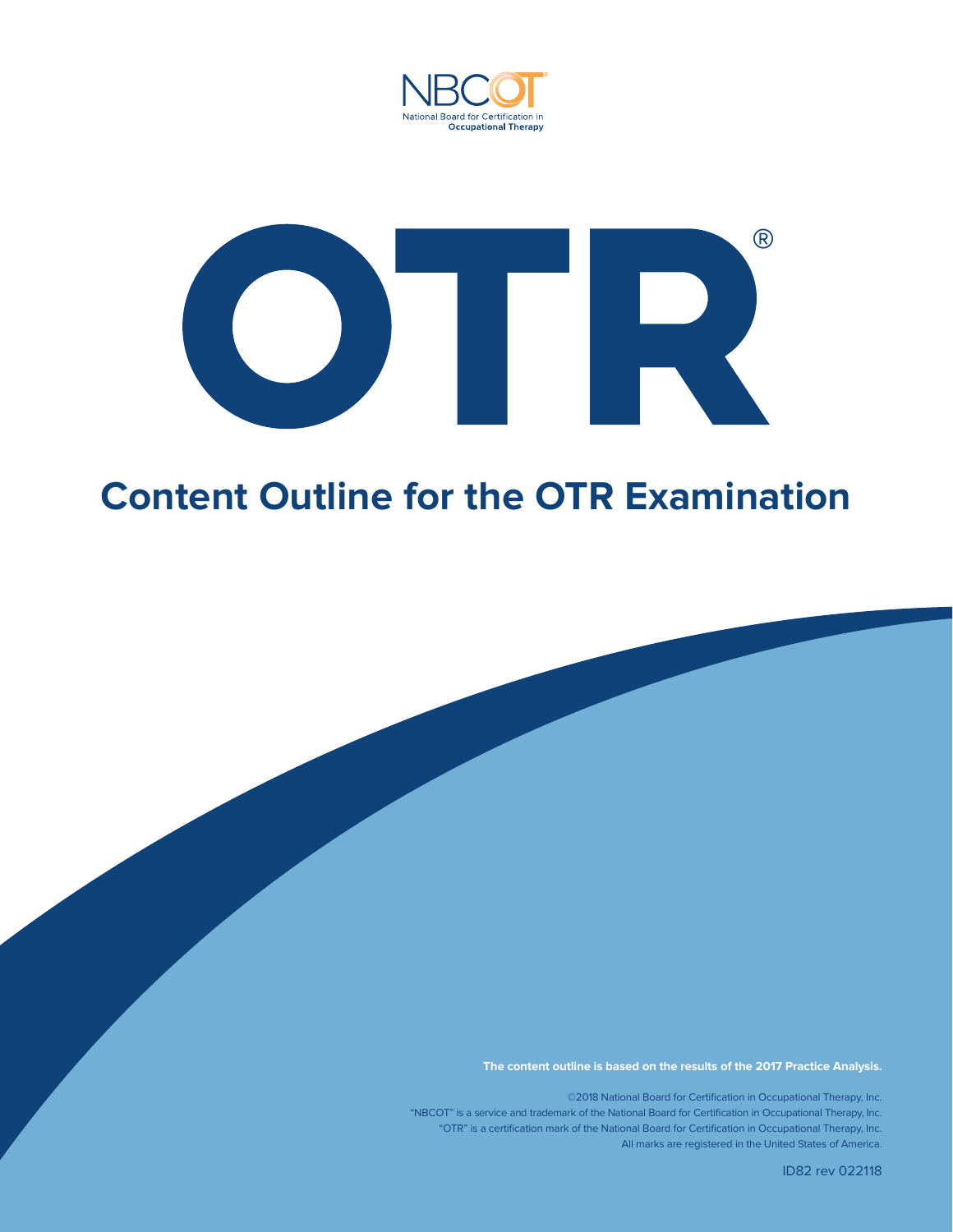



## **Content Outline for the OTR Examination**

**The content outline is based on the results of the 2017 Practice Analysis.**

©2018 National Board for Certification in Occupational Therapy, Inc. "NBCOT" is a service and trademark of the National Board for Certification in Occupational Therapy, Inc. "OTR" is a certification mark of the National Board for Certification in Occupational Therapy, Inc. All marks are registered in the United States of America.

ID82 rev 022118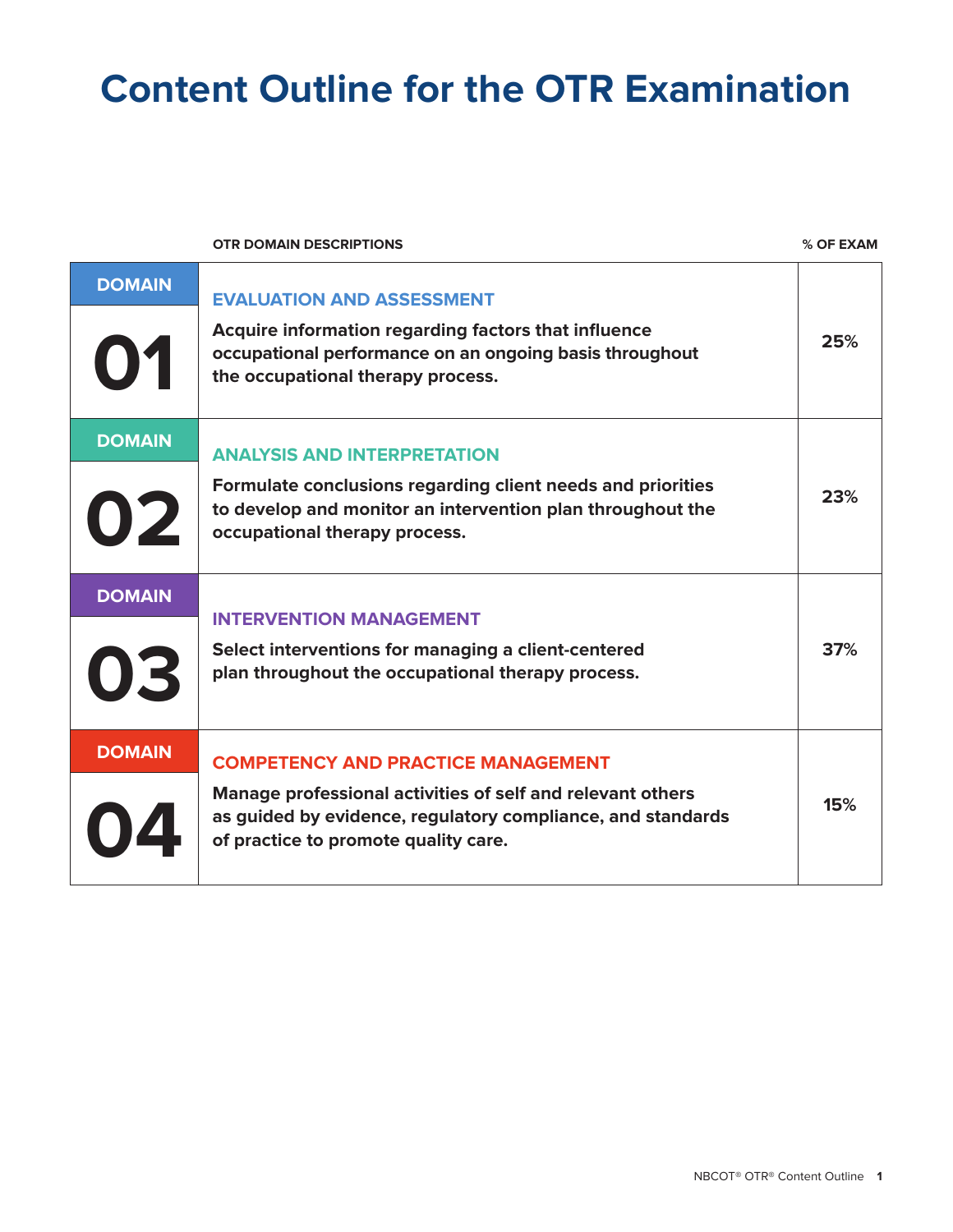## **Content Outline for the OTR Examination**

**OTR DOMAIN DESCRIPTIONS % OF EXAM**

| <b>DOMAIN</b><br>01 | <b>EVALUATION AND ASSESSMENT</b><br>Acquire information regarding factors that influence<br>occupational performance on an ongoing basis throughout<br>the occupational therapy process.                       | 25% |
|---------------------|----------------------------------------------------------------------------------------------------------------------------------------------------------------------------------------------------------------|-----|
| <b>DOMAIN</b><br>02 | <b>ANALYSIS AND INTERPRETATION</b><br>Formulate conclusions regarding client needs and priorities<br>to develop and monitor an intervention plan throughout the<br>occupational therapy process.               | 23% |
| <b>DOMAIN</b><br>03 | <b>INTERVENTION MANAGEMENT</b><br>Select interventions for managing a client-centered<br>plan throughout the occupational therapy process.                                                                     | 37% |
| <b>DOMAIN</b>       | <b>COMPETENCY AND PRACTICE MANAGEMENT</b><br>Manage professional activities of self and relevant others<br>as guided by evidence, regulatory compliance, and standards<br>of practice to promote quality care. | 15% |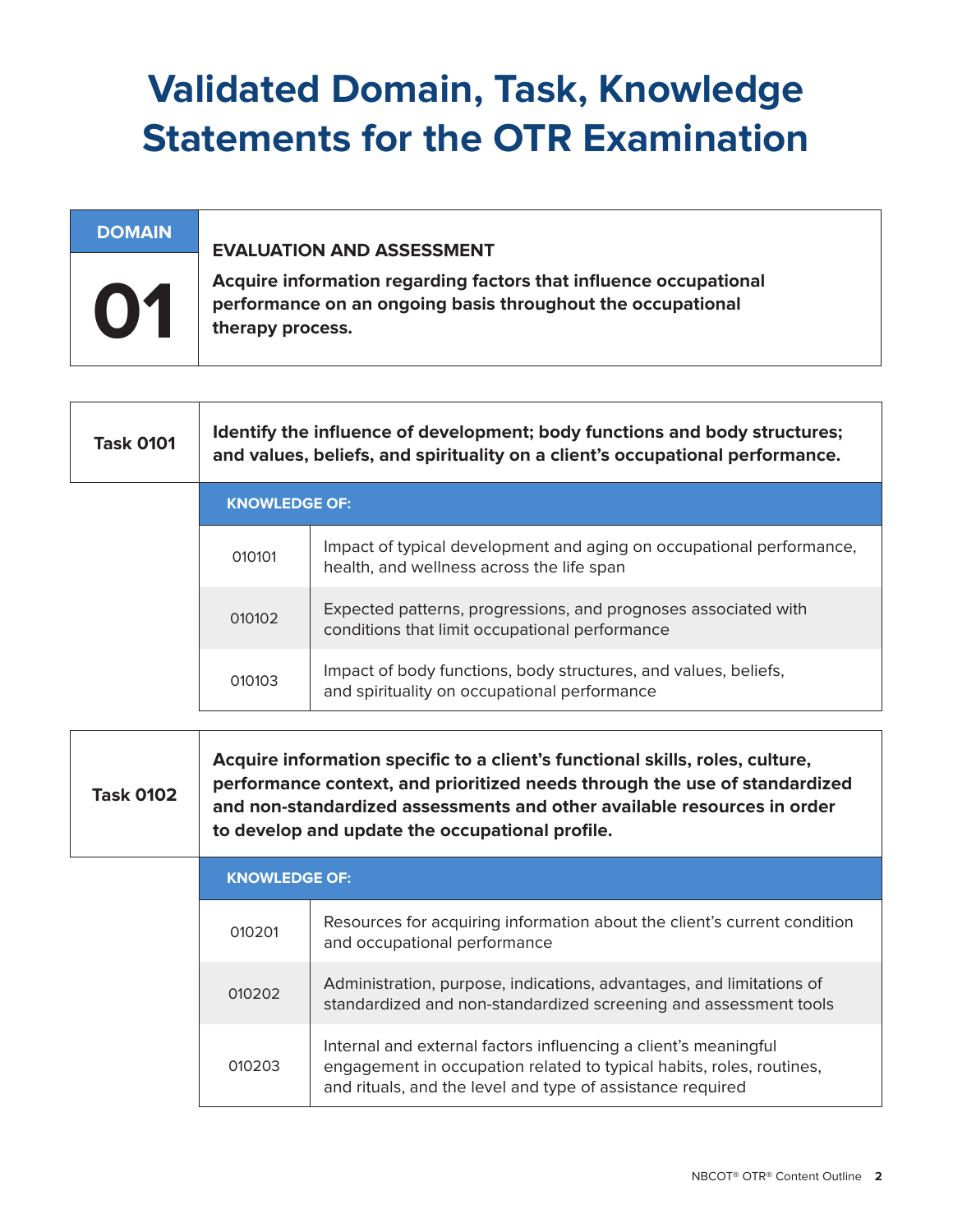# **Validated Domain, Task, Knowledge Statements for the OTR Examination**

### **DOMAIN**

#### **EVALUATION AND ASSESSMENT**

**Acquire information regarding factors that influence occupational performance on an ongoing basis throughout the occupational therapy process.** 

| <b>Task 0101</b> | Identify the influence of development; body functions and body structures;<br>and values, beliefs, and spirituality on a client's occupational performance. |                                                                                                                   |
|------------------|-------------------------------------------------------------------------------------------------------------------------------------------------------------|-------------------------------------------------------------------------------------------------------------------|
|                  | <b>KNOWLEDGE OF:</b>                                                                                                                                        |                                                                                                                   |
|                  | 010101                                                                                                                                                      | Impact of typical development and aging on occupational performance,<br>health, and wellness across the life span |
|                  | 010102                                                                                                                                                      | Expected patterns, progressions, and prognoses associated with<br>conditions that limit occupational performance  |
|                  | 010103                                                                                                                                                      | Impact of body functions, body structures, and values, beliefs,<br>and spirituality on occupational performance   |

**Task 0102 Acquire information specific to a client's functional skills, roles, culture, performance context, and prioritized needs through the use of standardized and non-standardized assessments and other available resources in order to develop and update the occupational profile.**

| <b>KNOWLEDGE OF:</b> |                                                                                                                                                                                                       |  |
|----------------------|-------------------------------------------------------------------------------------------------------------------------------------------------------------------------------------------------------|--|
| 010201               | Resources for acquiring information about the client's current condition<br>and occupational performance                                                                                              |  |
| 010202               | Administration, purpose, indications, advantages, and limitations of<br>standardized and non-standardized screening and assessment tools                                                              |  |
| 010203               | Internal and external factors influencing a client's meaningful<br>engagement in occupation related to typical habits, roles, routines,<br>and rituals, and the level and type of assistance required |  |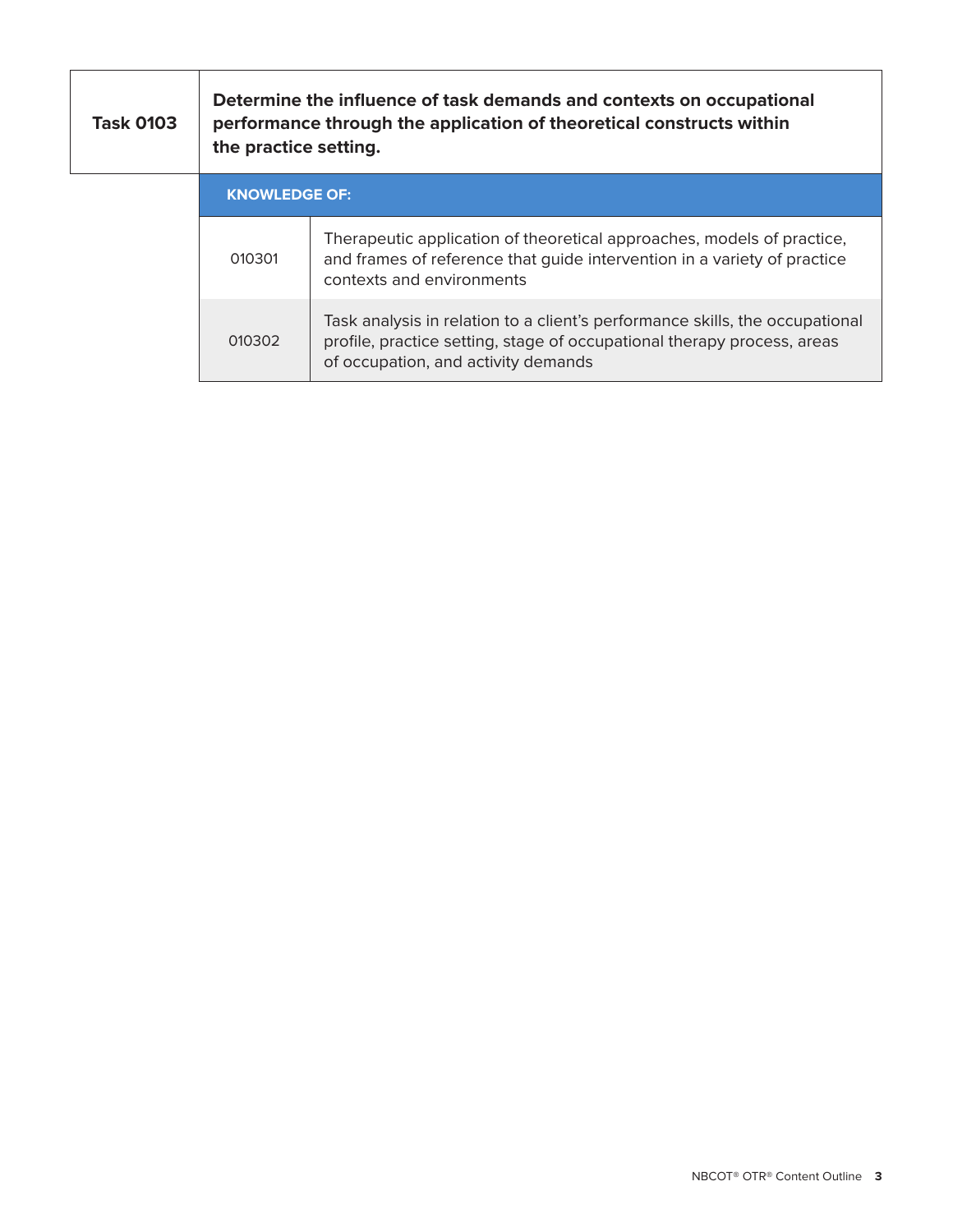| <b>Task 0103</b> | Determine the influence of task demands and contexts on occupational<br>performance through the application of theoretical constructs within<br>the practice setting. |                                                                                                                                                                                                |
|------------------|-----------------------------------------------------------------------------------------------------------------------------------------------------------------------|------------------------------------------------------------------------------------------------------------------------------------------------------------------------------------------------|
|                  | <b>KNOWLEDGE OF:</b>                                                                                                                                                  |                                                                                                                                                                                                |
|                  | 010301                                                                                                                                                                | Therapeutic application of theoretical approaches, models of practice,<br>and frames of reference that quide intervention in a variety of practice<br>contexts and environments                |
|                  | 010302                                                                                                                                                                | Task analysis in relation to a client's performance skills, the occupational<br>profile, practice setting, stage of occupational therapy process, areas<br>of occupation, and activity demands |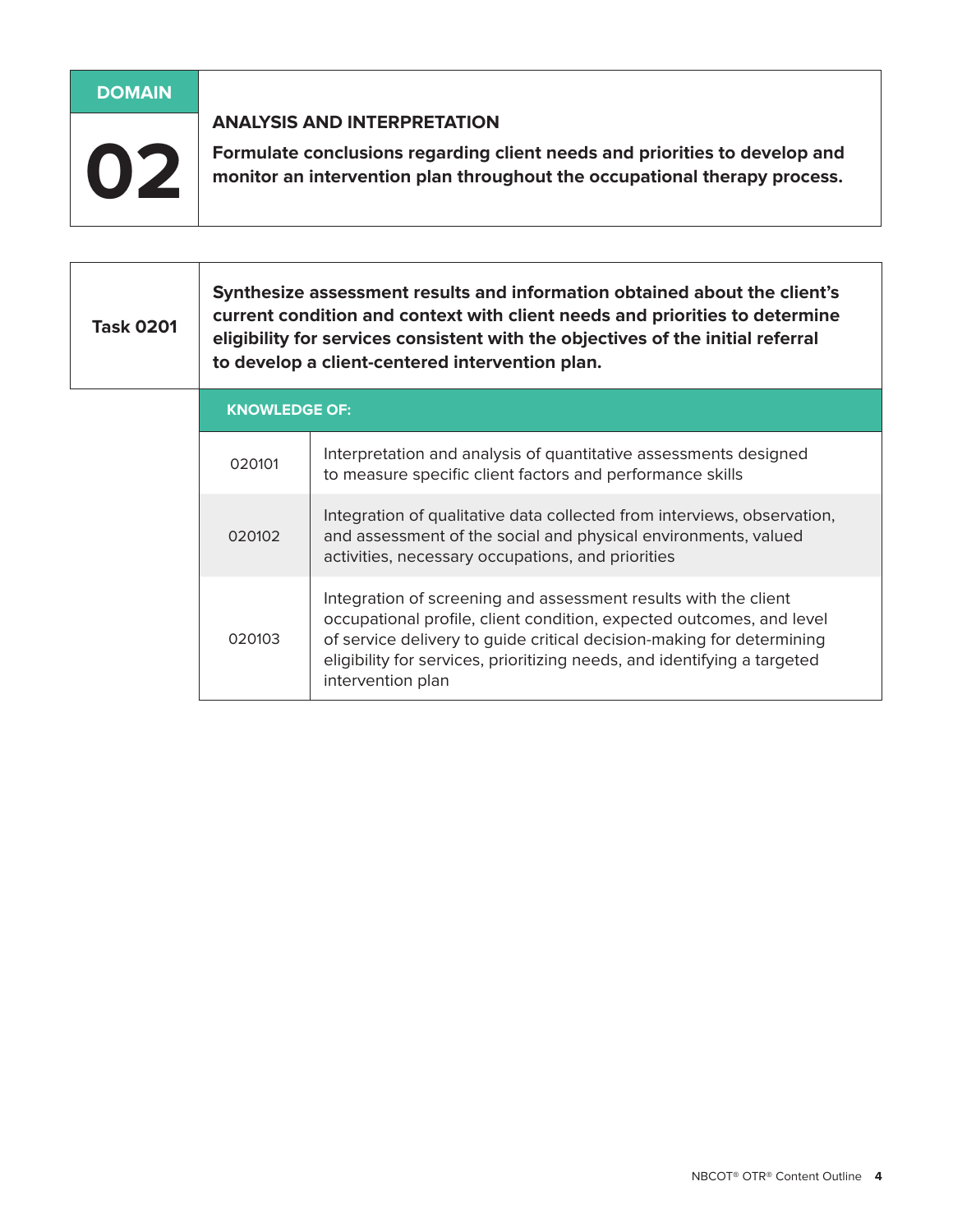| <b>DOMAIN</b> |                                                                                                                                                                                               |
|---------------|-----------------------------------------------------------------------------------------------------------------------------------------------------------------------------------------------|
| 02            | <b>ANALYSIS AND INTERPRETATION</b><br>Formulate conclusions regarding client needs and priorities to develop and<br>monitor an intervention plan throughout the occupational therapy process. |
|               |                                                                                                                                                                                               |

#### **Task 0201 Synthesize assessment results and information obtained about the client's current condition and context with client needs and priorities to determine eligibility for services consistent with the objectives of the initial referral to develop a client-centered intervention plan.**

| <b>KNOWLEDGE OF:</b> |                                                                                                                                                                                                                                                                                                                   |  |
|----------------------|-------------------------------------------------------------------------------------------------------------------------------------------------------------------------------------------------------------------------------------------------------------------------------------------------------------------|--|
| 020101               | Interpretation and analysis of quantitative assessments designed<br>to measure specific client factors and performance skills                                                                                                                                                                                     |  |
| 020102               | Integration of qualitative data collected from interviews, observation,<br>and assessment of the social and physical environments, valued<br>activities, necessary occupations, and priorities                                                                                                                    |  |
| 020103               | Integration of screening and assessment results with the client<br>occupational profile, client condition, expected outcomes, and level<br>of service delivery to guide critical decision-making for determining<br>eligibility for services, prioritizing needs, and identifying a targeted<br>intervention plan |  |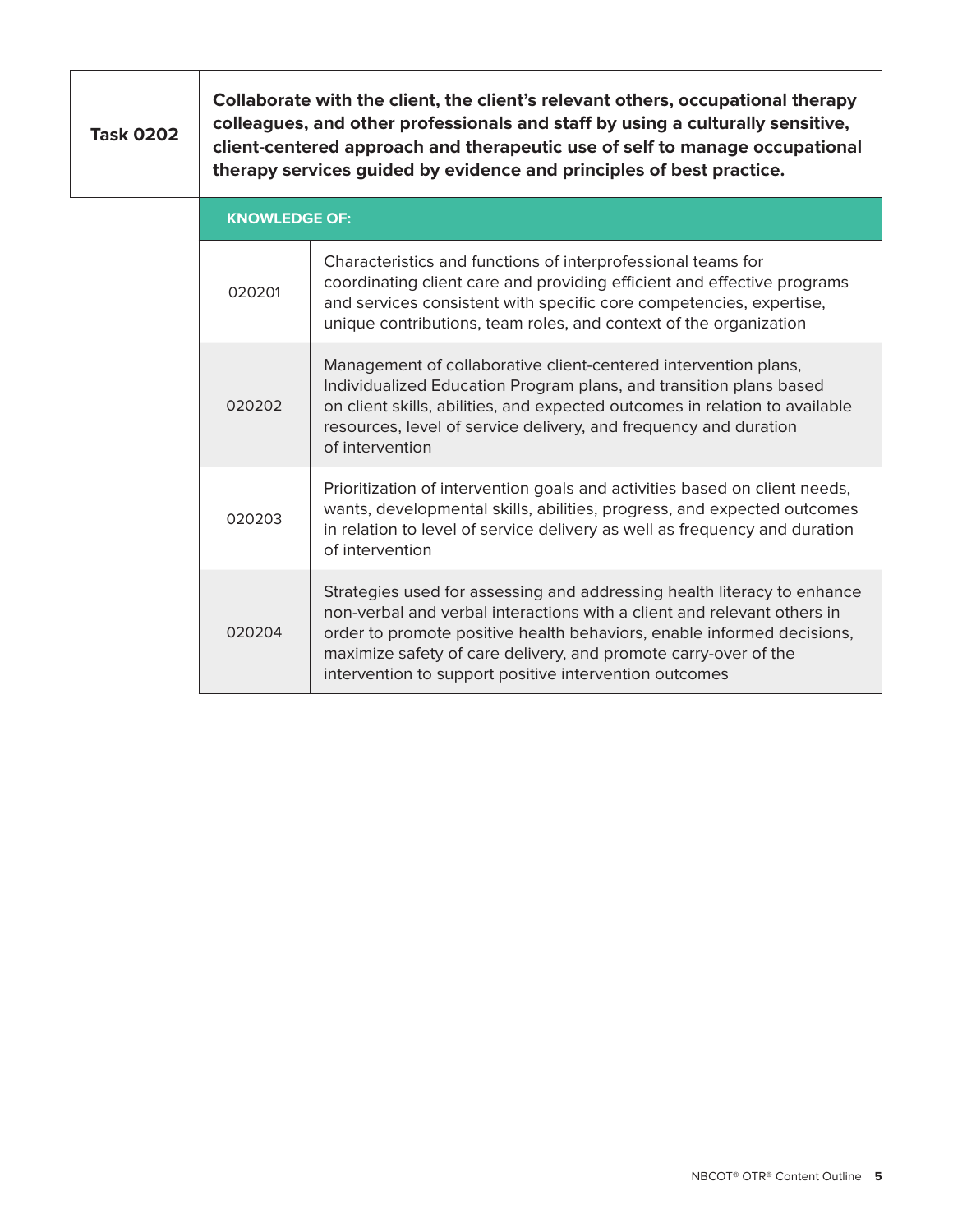| <b>Task 0202</b> | Collaborate with the client, the client's relevant others, occupational therapy<br>colleagues, and other professionals and staff by using a culturally sensitive,<br>client-centered approach and therapeutic use of self to manage occupational<br>therapy services guided by evidence and principles of best practice. |                                                                                                                                                                                                                                                                                                                                                           |
|------------------|--------------------------------------------------------------------------------------------------------------------------------------------------------------------------------------------------------------------------------------------------------------------------------------------------------------------------|-----------------------------------------------------------------------------------------------------------------------------------------------------------------------------------------------------------------------------------------------------------------------------------------------------------------------------------------------------------|
|                  | <b>KNOWLEDGE OF:</b>                                                                                                                                                                                                                                                                                                     |                                                                                                                                                                                                                                                                                                                                                           |
|                  | 020201                                                                                                                                                                                                                                                                                                                   | Characteristics and functions of interprofessional teams for<br>coordinating client care and providing efficient and effective programs<br>and services consistent with specific core competencies, expertise,<br>unique contributions, team roles, and context of the organization                                                                       |
|                  | 020202                                                                                                                                                                                                                                                                                                                   | Management of collaborative client-centered intervention plans,<br>Individualized Education Program plans, and transition plans based<br>on client skills, abilities, and expected outcomes in relation to available<br>resources, level of service delivery, and frequency and duration<br>of intervention                                               |
|                  | 020203                                                                                                                                                                                                                                                                                                                   | Prioritization of intervention goals and activities based on client needs,<br>wants, developmental skills, abilities, progress, and expected outcomes<br>in relation to level of service delivery as well as frequency and duration<br>of intervention                                                                                                    |
|                  | 020204                                                                                                                                                                                                                                                                                                                   | Strategies used for assessing and addressing health literacy to enhance<br>non-verbal and verbal interactions with a client and relevant others in<br>order to promote positive health behaviors, enable informed decisions,<br>maximize safety of care delivery, and promote carry-over of the<br>intervention to support positive intervention outcomes |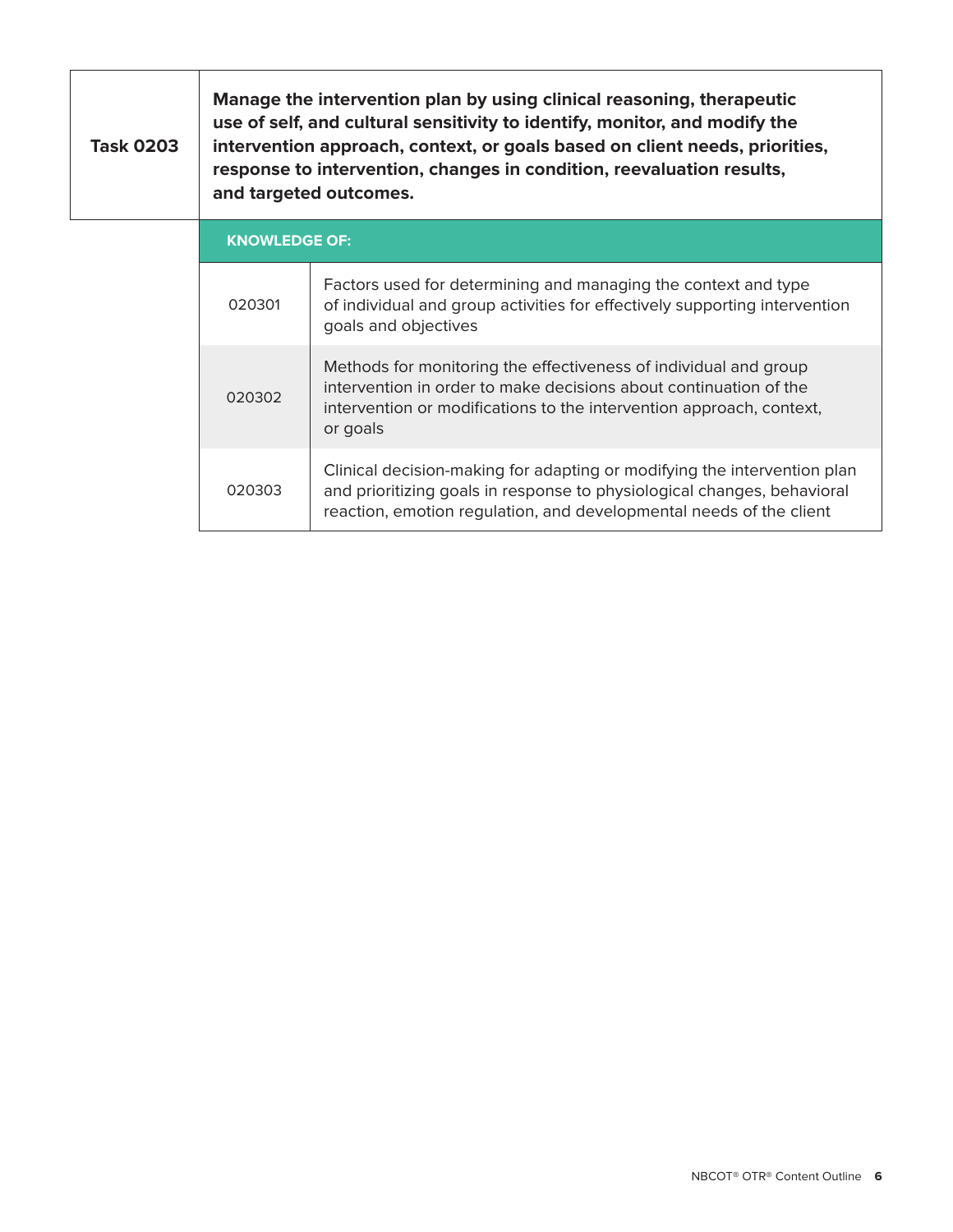| <b>Task 0203</b> | Manage the intervention plan by using clinical reasoning, therapeutic<br>use of self, and cultural sensitivity to identify, monitor, and modify the<br>intervention approach, context, or goals based on client needs, priorities,<br>response to intervention, changes in condition, reevaluation results,<br>and targeted outcomes. |                                                                                                                                                                      |
|------------------|---------------------------------------------------------------------------------------------------------------------------------------------------------------------------------------------------------------------------------------------------------------------------------------------------------------------------------------|----------------------------------------------------------------------------------------------------------------------------------------------------------------------|
|                  | <b>KNOWLEDGE OF:</b>                                                                                                                                                                                                                                                                                                                  |                                                                                                                                                                      |
|                  | 020301                                                                                                                                                                                                                                                                                                                                | Factors used for determining and managing the context and type<br>of individual and group activities for effectively supporting intervention<br>goals and objectives |
|                  |                                                                                                                                                                                                                                                                                                                                       | Methods for monitoring the effectiveness of individual and group                                                                                                     |

intervention in order to make decisions about continuation of the intervention or modifications to the intervention approach, context,

Clinical decision-making for adapting or modifying the intervention plan and prioritizing goals in response to physiological changes, behavioral reaction, emotion regulation, and developmental needs of the client

020302

020303

or goals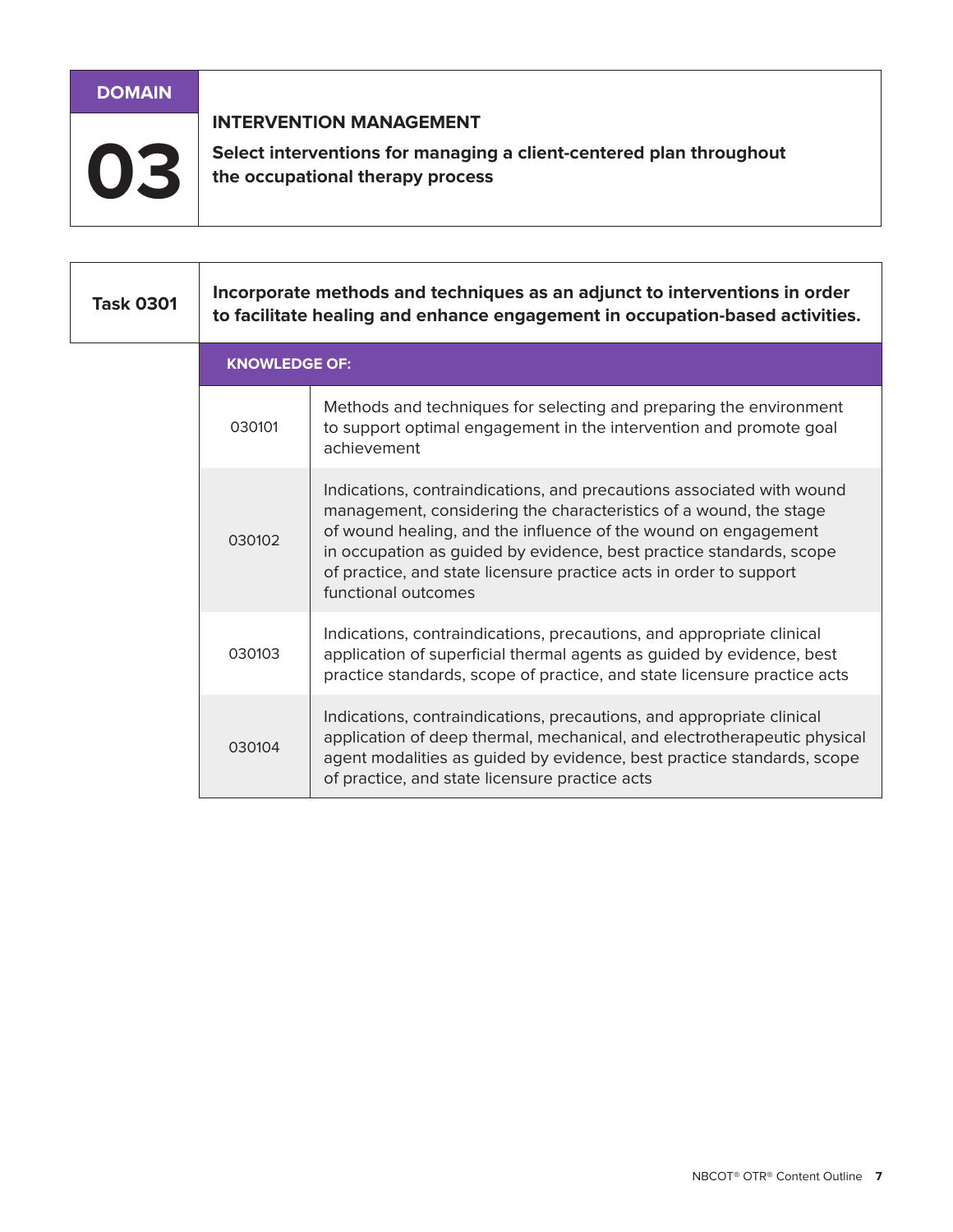# **DOMAIN INTERVENTION MANAGEMENT** Select interventions for managing a client-centered plan throughout the occupational therapy process

| <b>Task 0301</b> | Incorporate methods and techniques as an adjunct to interventions in order<br>to facilitate healing and enhance engagement in occupation-based activities. |                                                                                                                                                                                                                                                                                                                                                                                  |
|------------------|------------------------------------------------------------------------------------------------------------------------------------------------------------|----------------------------------------------------------------------------------------------------------------------------------------------------------------------------------------------------------------------------------------------------------------------------------------------------------------------------------------------------------------------------------|
|                  | <b>KNOWLEDGE OF:</b>                                                                                                                                       |                                                                                                                                                                                                                                                                                                                                                                                  |
|                  | 030101                                                                                                                                                     | Methods and techniques for selecting and preparing the environment<br>to support optimal engagement in the intervention and promote goal<br>achievement                                                                                                                                                                                                                          |
|                  | 030102                                                                                                                                                     | Indications, contraindications, and precautions associated with wound<br>management, considering the characteristics of a wound, the stage<br>of wound healing, and the influence of the wound on engagement<br>in occupation as guided by evidence, best practice standards, scope<br>of practice, and state licensure practice acts in order to support<br>functional outcomes |
|                  | 030103                                                                                                                                                     | Indications, contraindications, precautions, and appropriate clinical<br>application of superficial thermal agents as guided by evidence, best<br>practice standards, scope of practice, and state licensure practice acts                                                                                                                                                       |
|                  | 030104                                                                                                                                                     | Indications, contraindications, precautions, and appropriate clinical<br>application of deep thermal, mechanical, and electrotherapeutic physical<br>agent modalities as guided by evidence, best practice standards, scope<br>of practice, and state licensure practice acts                                                                                                    |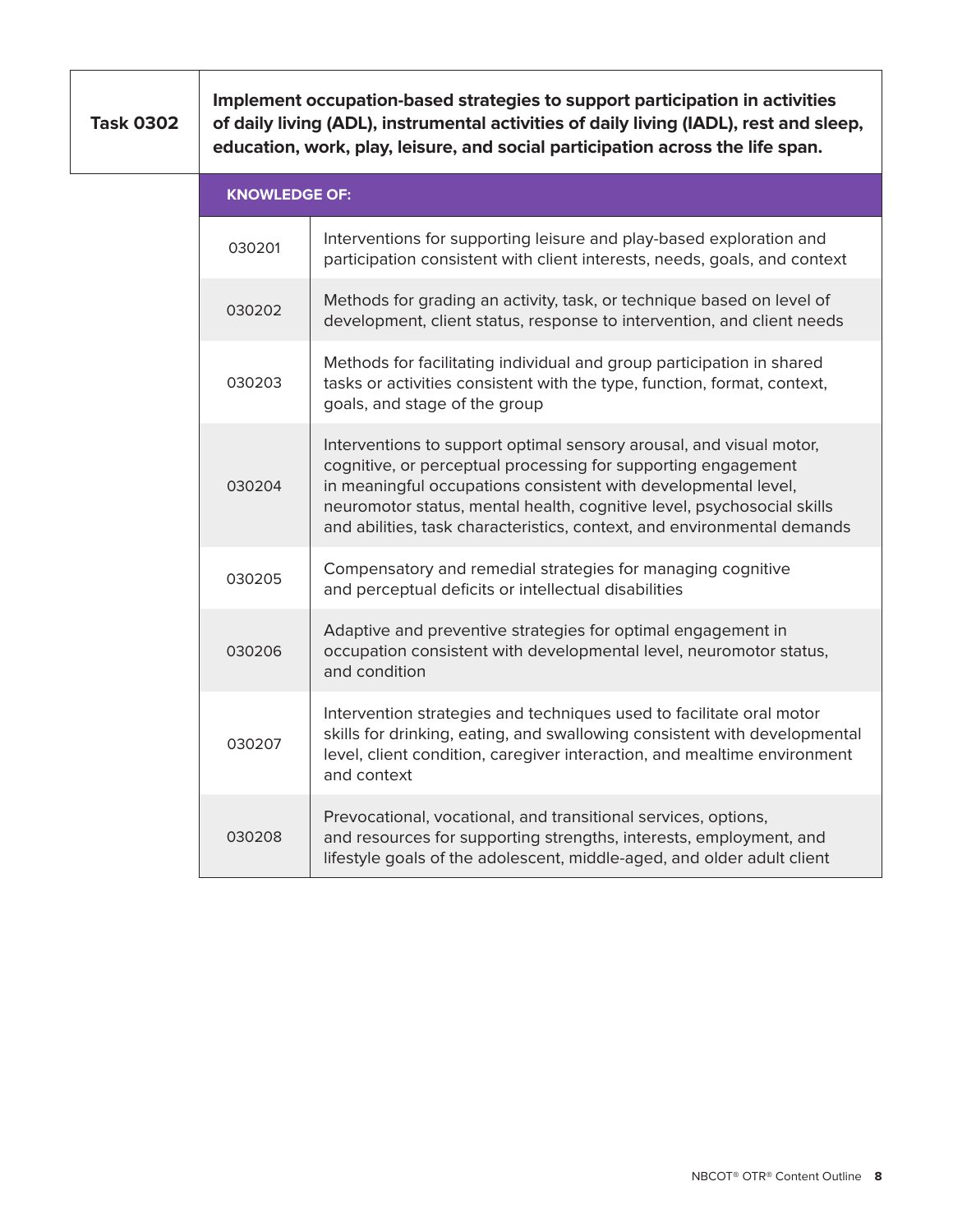**Task 0302**

**Implement occupation-based strategies to support participation in activities of daily living (ADL), instrumental activities of daily living (IADL), rest and sleep, education, work, play, leisure, and social participation across the life span.**

| <b>KNOWLEDGE OF:</b> |                                                                                                                                                                                                                                                                                                                                                             |  |
|----------------------|-------------------------------------------------------------------------------------------------------------------------------------------------------------------------------------------------------------------------------------------------------------------------------------------------------------------------------------------------------------|--|
| 030201               | Interventions for supporting leisure and play-based exploration and<br>participation consistent with client interests, needs, goals, and context                                                                                                                                                                                                            |  |
| 030202               | Methods for grading an activity, task, or technique based on level of<br>development, client status, response to intervention, and client needs                                                                                                                                                                                                             |  |
| 030203               | Methods for facilitating individual and group participation in shared<br>tasks or activities consistent with the type, function, format, context,<br>goals, and stage of the group                                                                                                                                                                          |  |
| 030204               | Interventions to support optimal sensory arousal, and visual motor,<br>cognitive, or perceptual processing for supporting engagement<br>in meaningful occupations consistent with developmental level,<br>neuromotor status, mental health, cognitive level, psychosocial skills<br>and abilities, task characteristics, context, and environmental demands |  |
| 030205               | Compensatory and remedial strategies for managing cognitive<br>and perceptual deficits or intellectual disabilities                                                                                                                                                                                                                                         |  |
| 030206               | Adaptive and preventive strategies for optimal engagement in<br>occupation consistent with developmental level, neuromotor status,<br>and condition                                                                                                                                                                                                         |  |
| 030207               | Intervention strategies and techniques used to facilitate oral motor<br>skills for drinking, eating, and swallowing consistent with developmental<br>level, client condition, caregiver interaction, and mealtime environment<br>and context                                                                                                                |  |
| 030208               | Prevocational, vocational, and transitional services, options,<br>and resources for supporting strengths, interests, employment, and<br>lifestyle goals of the adolescent, middle-aged, and older adult client                                                                                                                                              |  |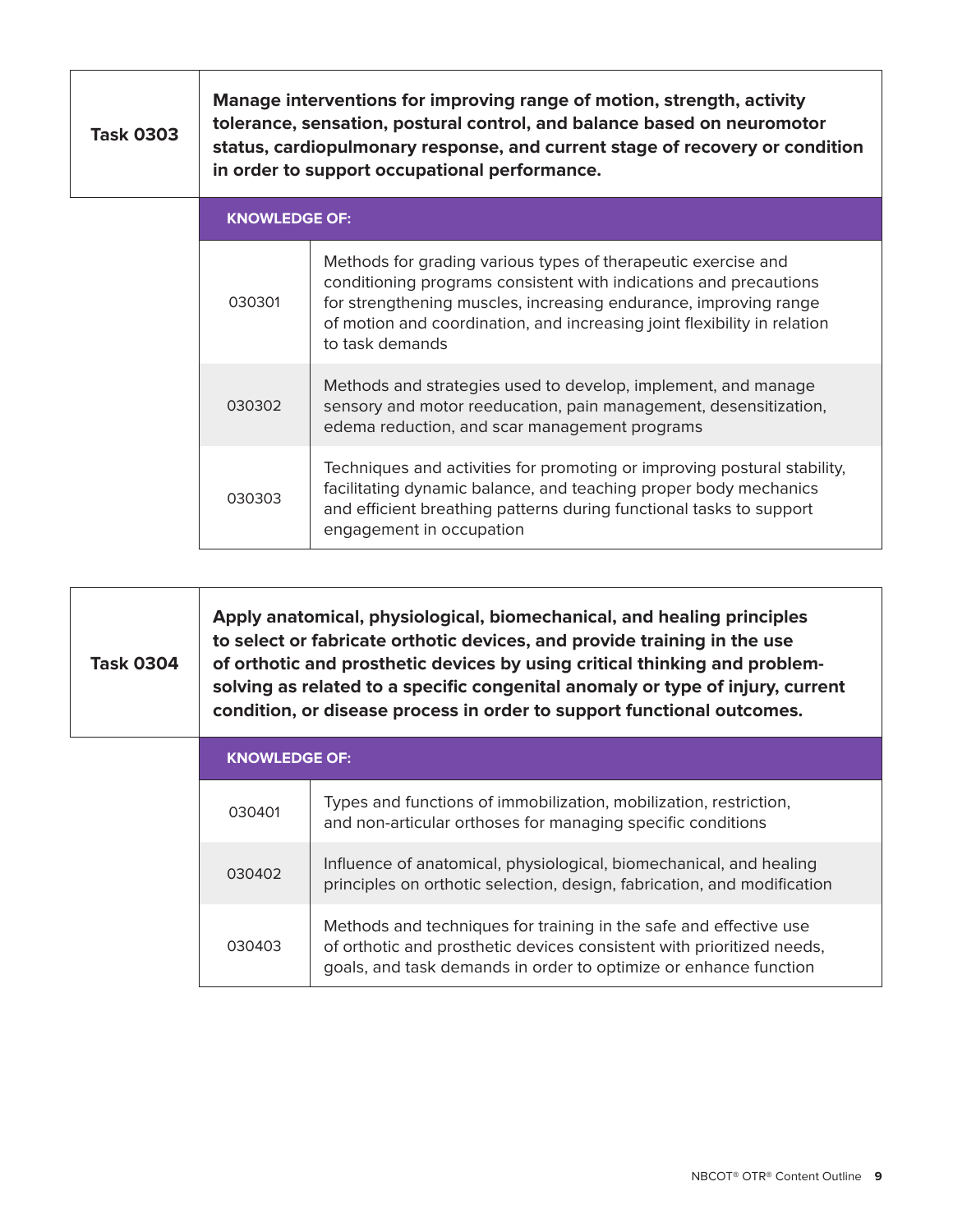| <b>Task 0303</b> | Manage interventions for improving range of motion, strength, activity<br>tolerance, sensation, postural control, and balance based on neuromotor<br>status, cardiopulmonary response, and current stage of recovery or condition<br>in order to support occupational performance. |                                                                                                                                                                                                                                                                                                       |
|------------------|------------------------------------------------------------------------------------------------------------------------------------------------------------------------------------------------------------------------------------------------------------------------------------|-------------------------------------------------------------------------------------------------------------------------------------------------------------------------------------------------------------------------------------------------------------------------------------------------------|
|                  | <b>KNOWLEDGE OF:</b>                                                                                                                                                                                                                                                               |                                                                                                                                                                                                                                                                                                       |
|                  | 030301                                                                                                                                                                                                                                                                             | Methods for grading various types of therapeutic exercise and<br>conditioning programs consistent with indications and precautions<br>for strengthening muscles, increasing endurance, improving range<br>of motion and coordination, and increasing joint flexibility in relation<br>to task demands |
|                  | 030302                                                                                                                                                                                                                                                                             | Methods and strategies used to develop, implement, and manage<br>sensory and motor reeducation, pain management, desensitization,<br>edema reduction, and scar management programs                                                                                                                    |
|                  | 030303                                                                                                                                                                                                                                                                             | Techniques and activities for promoting or improving postural stability,<br>facilitating dynamic balance, and teaching proper body mechanics<br>and efficient breathing patterns during functional tasks to support<br>engagement in occupation                                                       |

| <b>Task 0304</b> | Apply anatomical, physiological, biomechanical, and healing principles<br>to select or fabricate orthotic devices, and provide training in the use<br>of orthotic and prosthetic devices by using critical thinking and problem-<br>solving as related to a specific congenital anomaly or type of injury, current<br>condition, or disease process in order to support functional outcomes. |
|------------------|----------------------------------------------------------------------------------------------------------------------------------------------------------------------------------------------------------------------------------------------------------------------------------------------------------------------------------------------------------------------------------------------|
|                  | KNOWLEDGE OF:                                                                                                                                                                                                                                                                                                                                                                                |

r

| <b>KNOWLEDGE OF:</b> |                                                                                                                                                                                                                |
|----------------------|----------------------------------------------------------------------------------------------------------------------------------------------------------------------------------------------------------------|
| 030401               | Types and functions of immobilization, mobilization, restriction,<br>and non-articular orthoses for managing specific conditions                                                                               |
| 030402               | Influence of anatomical, physiological, biomechanical, and healing<br>principles on orthotic selection, design, fabrication, and modification                                                                  |
| 030403               | Methods and techniques for training in the safe and effective use<br>of orthotic and prosthetic devices consistent with prioritized needs,<br>goals, and task demands in order to optimize or enhance function |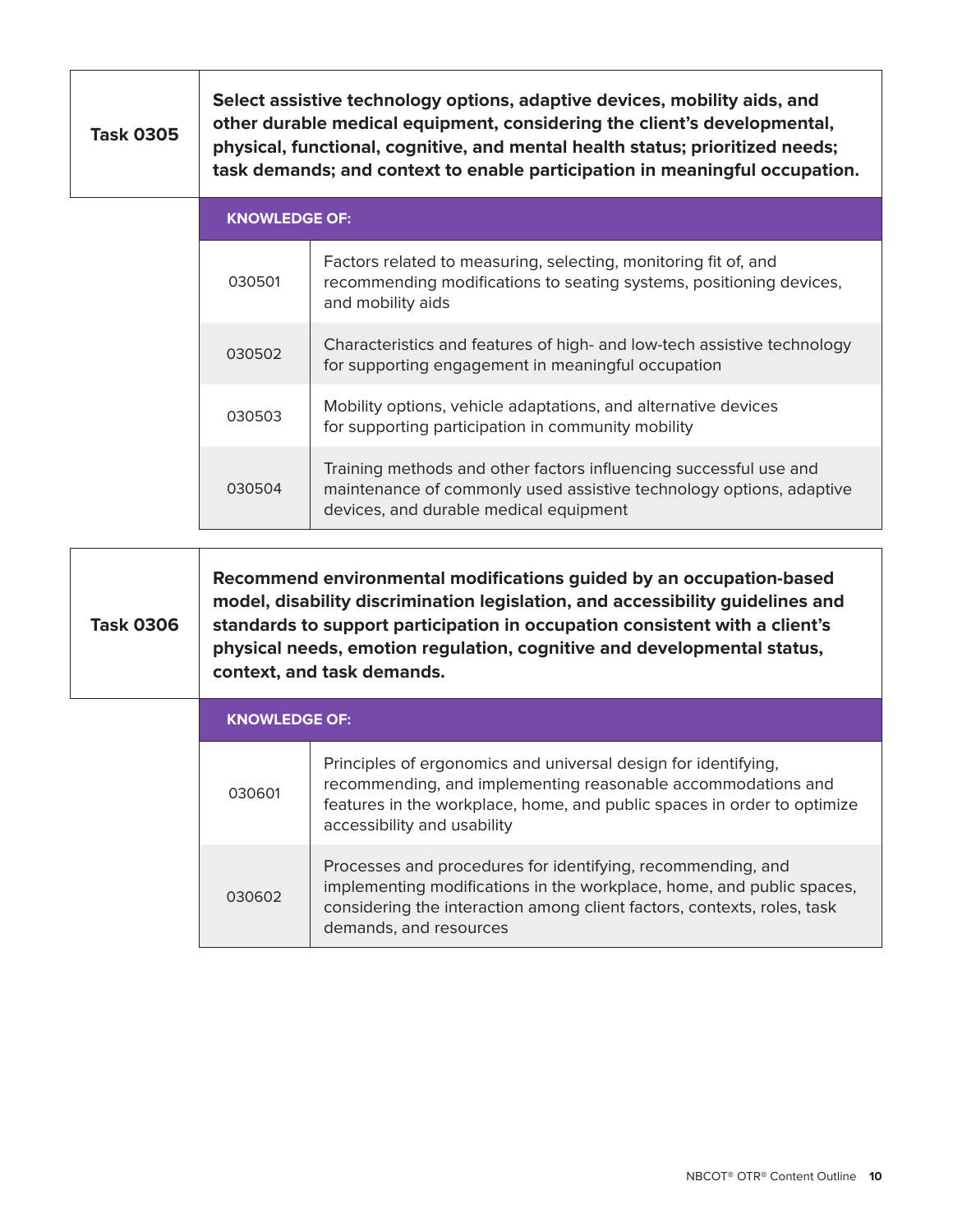| <b>Task 0305</b> | Select assistive technology options, adaptive devices, mobility aids, and<br>other durable medical equipment, considering the client's developmental,<br>physical, functional, cognitive, and mental health status; prioritized needs;<br>task demands; and context to enable participation in meaningful occupation. |
|------------------|-----------------------------------------------------------------------------------------------------------------------------------------------------------------------------------------------------------------------------------------------------------------------------------------------------------------------|
|------------------|-----------------------------------------------------------------------------------------------------------------------------------------------------------------------------------------------------------------------------------------------------------------------------------------------------------------------|

т

| <b>KNOWLEDGE OF:</b> |                                                                                                                                                                                    |
|----------------------|------------------------------------------------------------------------------------------------------------------------------------------------------------------------------------|
| 030501               | Factors related to measuring, selecting, monitoring fit of, and<br>recommending modifications to seating systems, positioning devices,<br>and mobility aids                        |
| 030502               | Characteristics and features of high- and low-tech assistive technology<br>for supporting engagement in meaningful occupation                                                      |
| 030503               | Mobility options, vehicle adaptations, and alternative devices<br>for supporting participation in community mobility                                                               |
| 030504               | Training methods and other factors influencing successful use and<br>maintenance of commonly used assistive technology options, adaptive<br>devices, and durable medical equipment |

| <b>Task 0306</b> | Recommend environmental modifications guided by an occupation-based<br>model, disability discrimination legislation, and accessibility guidelines and<br>standards to support participation in occupation consistent with a client's<br>physical needs, emotion regulation, cognitive and developmental status,<br>context, and task demands. |
|------------------|-----------------------------------------------------------------------------------------------------------------------------------------------------------------------------------------------------------------------------------------------------------------------------------------------------------------------------------------------|
|------------------|-----------------------------------------------------------------------------------------------------------------------------------------------------------------------------------------------------------------------------------------------------------------------------------------------------------------------------------------------|

| <b>KNOWLEDGE OF:</b> |                                                                                                                                                                                                                                           |
|----------------------|-------------------------------------------------------------------------------------------------------------------------------------------------------------------------------------------------------------------------------------------|
| 030601               | Principles of ergonomics and universal design for identifying,<br>recommending, and implementing reasonable accommodations and<br>features in the workplace, home, and public spaces in order to optimize<br>accessibility and usability  |
| 030602               | Processes and procedures for identifying, recommending, and<br>implementing modifications in the workplace, home, and public spaces,<br>considering the interaction among client factors, contexts, roles, task<br>demands, and resources |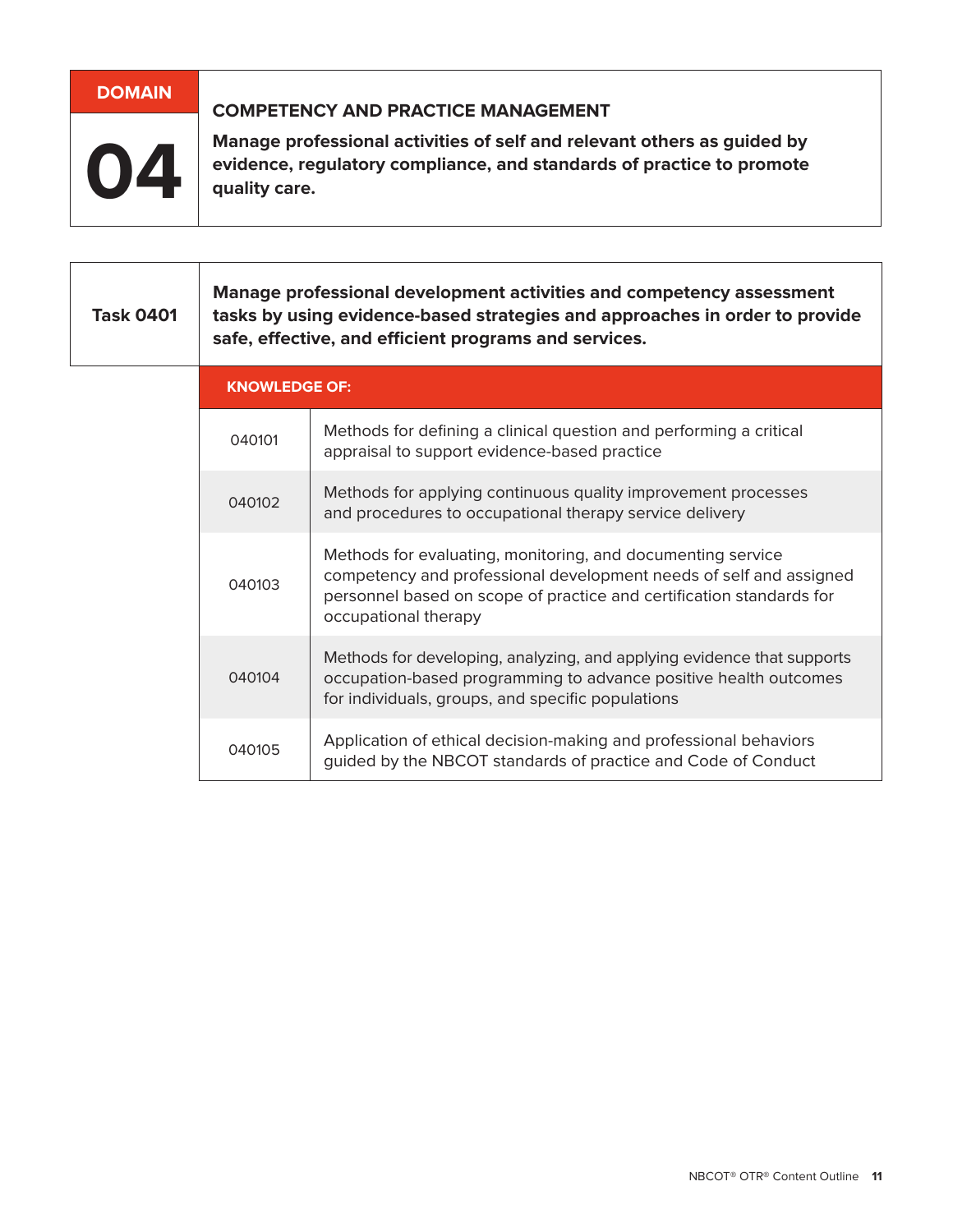| DOMAIN | <b>COMPETENCY AND PRACTICE MANAGEMENT</b>                                                                                                                         |
|--------|-------------------------------------------------------------------------------------------------------------------------------------------------------------------|
| 04     | Manage professional activities of self and relevant others as guided by<br>evidence, regulatory compliance, and standards of practice to promote<br>quality care. |

| <b>Task 0401</b> | Manage professional development activities and competency assessment<br>tasks by using evidence-based strategies and approaches in order to provide<br>safe, effective, and efficient programs and services. |                                                                                                                                                                                                                                   |
|------------------|--------------------------------------------------------------------------------------------------------------------------------------------------------------------------------------------------------------|-----------------------------------------------------------------------------------------------------------------------------------------------------------------------------------------------------------------------------------|
|                  | <b>KNOWLEDGE OF:</b>                                                                                                                                                                                         |                                                                                                                                                                                                                                   |
|                  | 040101                                                                                                                                                                                                       | Methods for defining a clinical question and performing a critical<br>appraisal to support evidence-based practice                                                                                                                |
|                  | 040102                                                                                                                                                                                                       | Methods for applying continuous quality improvement processes<br>and procedures to occupational therapy service delivery                                                                                                          |
|                  | 040103                                                                                                                                                                                                       | Methods for evaluating, monitoring, and documenting service<br>competency and professional development needs of self and assigned<br>personnel based on scope of practice and certification standards for<br>occupational therapy |
|                  | 040104                                                                                                                                                                                                       | Methods for developing, analyzing, and applying evidence that supports<br>occupation-based programming to advance positive health outcomes<br>for individuals, groups, and specific populations                                   |
|                  | 040105                                                                                                                                                                                                       | Application of ethical decision-making and professional behaviors<br>guided by the NBCOT standards of practice and Code of Conduct                                                                                                |

٦